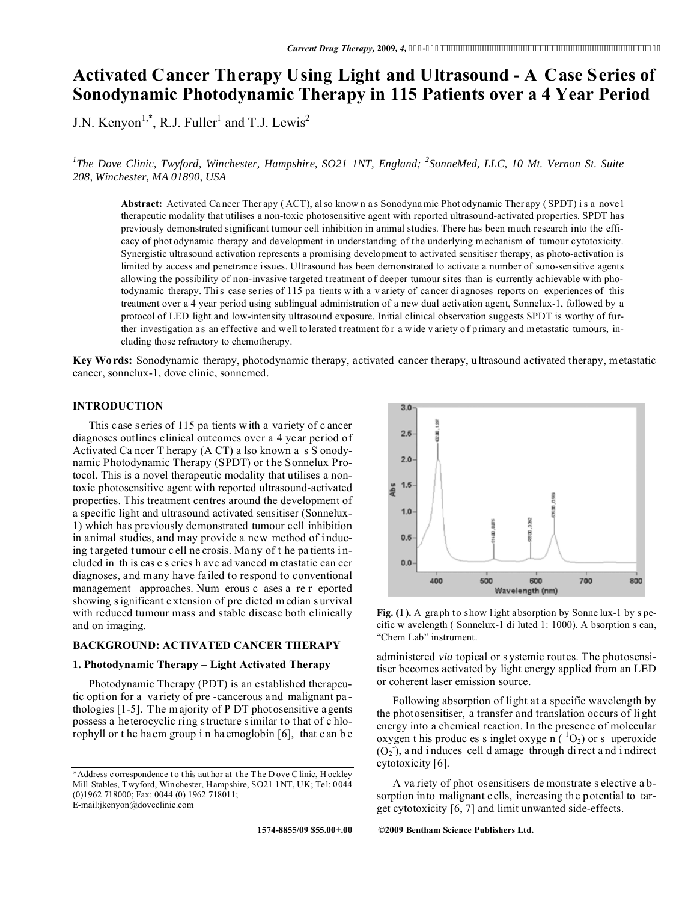# **Activated Cancer Therapy Using Light and Ultrasound - A Case Series of Sonodynamic Photodynamic Therapy in 115 Patients over a 4 Year Period**

J.N. Kenyon<sup>1,\*</sup>, R.J. Fuller<sup>1</sup> and T.J. Lewis<sup>2</sup>

<sup>1</sup>The Dove Clinic, Twyford, Winchester, Hampshire, SO21 1NT, England; <sup>2</sup>SonneMed, LLC, 10 Mt. Vernon St. Suite *208, Winchester, MA 01890, USA* 

**Abstract:** Activated Ca ncer Ther apy ( ACT), al so know n a s Sonodyna mic Phot odynamic Ther apy ( SPDT) i s a nove l therapeutic modality that utilises a non-toxic photosensitive agent with reported ultrasound-activated properties. SPDT has previously demonstrated significant tumour cell inhibition in animal studies. There has been much research into the efficacy of phot odynamic therapy and development in understanding of the underlying mechanism of tumour cytotoxicity. Synergistic ultrasound activation represents a promising development to activated sensitiser therapy, as photo-activation is limited by access and penetrance issues. Ultrasound has been demonstrated to activate a number of sono-sensitive agents allowing the possibility of non-invasive targeted treatment of deeper tumour sites than is currently achievable with photodynamic therapy. This case series of 115 pa tients with a v ariety of cancer di agnoses reports on experiences of this treatment over a 4 year period using sublingual administration of a new dual activation agent, Sonnelux-1, followed by a protocol of LED light and low-intensity ultrasound exposure. Initial clinical observation suggests SPDT is worthy of further investigation as an effective and well to lerated treatment for a wide v ariety of primary and metastatic tumours, including those refractory to chemotherapy.

**Key Wo rds:** Sonodynamic therapy, photodynamic therapy, activated cancer therapy, ultrasound activated therapy, metastatic cancer, sonnelux-1, dove clinic, sonnemed.

 $30$ 

### **INTRODUCTION**

 This case s eries of 115 pa tients w ith a variety of c ancer diagnoses outlines clinical outcomes over a 4 year period of Activated Ca ncer T herapy (A CT) a lso known a s S onodynamic Photodynamic Therapy (SPDT) or the Sonnelux Protocol. This is a novel therapeutic modality that utilises a nontoxic photosensitive agent with reported ultrasound-activated properties. This treatment centres around the development of a specific light and ultrasound activated sensitiser (Sonnelux-1) which has previously demonstrated tumour cell inhibition in animal studies, and may provide a new method of i nducing t argeted t umour c ell ne crosis. Ma ny of t he pa tients i ncluded in th is cas e s eries h ave ad vanced m etastatic can cer diagnoses, and many have failed to respond to conventional management approaches. Num erous c ases a re r eported showing s ignificant e xtension of pre dicted m edian s urvival with reduced tumour mass and stable disease both clinically and on imaging.

### **BACKGROUND: ACTIVATED CANCER THERAPY**

### **1. Photodynamic Therapy – Light Activated Therapy**

 Photodynamic Therapy (PDT) is an established therapeutic option for a variety of pre -cancerous and malignant pa thologies [1-5]. T he m ajority of P DT photosensitive agents possess a heterocyclic ring structure s imilar to that of c hlorophyll or t he haem group i n ha emoglobin [6], that c an b e

 $2.5$  $2.0$ **Abs**  $1.5$  $1.0$  $0.5$  $0.0$ 400 500 600 700 800 Wavelength (nm)

**Fig. (1 ).** A graph to show light absorption by Sonne lux-1 by s pecific w avelength ( Sonnelux-1 di luted 1: 1000). A bsorption s can, "Chem Lab" instrument.

administered *via* topical or s ystemic routes. The photosensitiser becomes activated by light energy applied from an LED or coherent laser emission source.

 Following absorption of light at a specific wavelength by the photosensitiser, a transfer and translation occurs of li ght energy into a chemical reaction. In the presence of molecular oxygen t his produc es s inglet oxyge  $n(^1O_2)$  or s uperoxide  $(O_2)$ , and induces cell d amage through direct and indirect cytotoxicity [6].

 A va riety of phot osensitisers de monstrate s elective a bsorption into malignant cells, increasing the potential to target cytotoxicity [6, 7] and limit unwanted side-effects.

**1574-8855/09 \$55.00+.00 ©2009 Bentham Science Publishers Ltd.**

<sup>\*</sup>Address c orrespondence t o t his aut hor at t he T he D ove C linic, H ockley Mill Stables, Twyford, Winchester, Hampshire, SO21 1NT, UK; Tel: 0044 (0)1962 718000; Fax: 0044 (0) 1962 718011; E-mail:jkenyon@doveclinic.com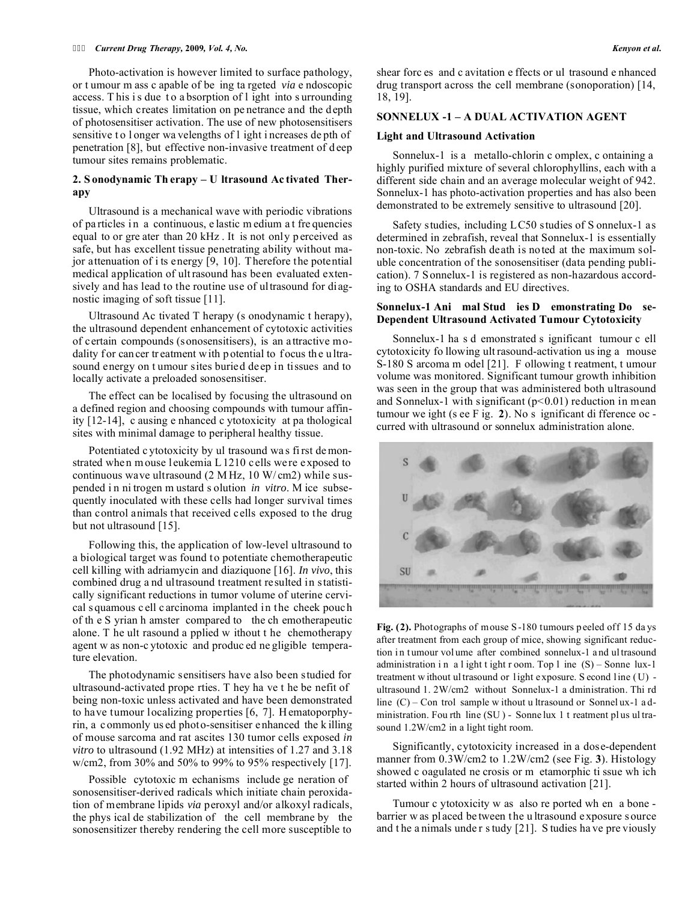#### *Current Drug Therapy,* **2009***, Vol. 4, No. Kenyon et al.*

 Photo-activation is however limited to surface pathology, or t umour m ass c apable of be ing ta rgeted *via* e ndoscopic access. This is due to a bsorption of l ight into s urrounding tissue, which creates limitation on pe netrance and the depth of photosensitiser activation. The use of new photosensitisers sensitive to longer wa velengths of l ight i ncreases depth of penetration [8], but effective non-invasive treatment of d eep tumour sites remains problematic.

### **2. S onodynamic Th erapy – U ltrasound Ac tivated Therapy**

 Ultrasound is a mechanical wave with periodic vibrations of pa rticles i n a continuous, e lastic m edium a t fre quencies equal to or gre ater than 20 kHz. It is not only p erceived as safe, but has excellent tissue penetrating ability without major attenuation of i ts energy [9, 10]. Therefore the potential medical application of ult rasound has been evaluated extensively and has lead to the routine use of ultrasound for diagnostic imaging of soft tissue [11].

 Ultrasound Ac tivated T herapy (s onodynamic t herapy), the ultrasound dependent enhancement of cytotoxic activities of certain compounds (sonosensitisers), is an attractive modality for can cer tr eatment w ith p otential to focus the ultrasound energy on t umour sites buried deep in tissues and to locally activate a preloaded sonosensitiser.

 The effect can be localised by focusing the ultrasound on a defined region and choosing compounds with tumour affinity [12-14], c ausing e nhanced c ytotoxicity at pa thological sites with minimal damage to peripheral healthy tissue.

 Potentiated c ytotoxicity by ul trasound wa s fi rst de monstrated when m ouse leukemia L 1210 cells were exposed to continuous wave ultrasound (2 M Hz, 10 W/ cm2) while suspended i n ni trogen m ustard s olution *in vitro*. M ice subsequently inoculated with these cells had longer survival times than control animals that received cells exposed to the drug but not ultrasound [15].

 Following this, the application of low-level ultrasound to a biological target was found to potentiate chemotherapeutic cell killing with adriamycin and diaziquone [16]. *In vivo*, this combined drug a nd ultrasound treatment resulted in statistically significant reductions in tumor volume of uterine cervical s quamous c ell c arcinoma implanted in the cheek pouch of th e S yrian h amster compared to the ch emotherapeutic alone. T he ult rasound a pplied w ithout t he chemotherapy agent w as non-c ytotoxic and produc ed ne gligible temperature elevation.

 The photodynamic sensitisers have also been studied for ultrasound-activated prope rties. T hey ha ve t he be nefit of being non-toxic unless activated and have been demonstrated to have tumour localizing properties [6, 7]. H ematoporphyrin, a commonly us ed photo-sensitiser enhanced the k illing of mouse sarcoma and rat ascites 130 tumor cells exposed *in vitro* to ultrasound (1.92 MHz) at intensities of 1.27 and 3.18 w/cm2, from 30% and 50% to 99% to 95% respectively [17].

 Possible cytotoxic m echanisms include ge neration of sonosensitiser-derived radicals which initiate chain peroxidation of membrane lipids *via* peroxyl and/or alkoxyl radicals, the phys ical de stabilization of the cell membrane by the sonosensitizer thereby rendering the cell more susceptible to

shear forc es and c avitation e ffects or ul trasound e nhanced drug transport across the cell membrane (sonoporation) [14, 18, 19].

#### **SONNELUX -1 – A DUAL ACTIVATION AGENT**

#### **Light and Ultrasound Activation**

 Sonnelux-1 is a metallo-chlorin c omplex, c ontaining a highly purified mixture of several chlorophyllins, each with a different side chain and an average molecular weight of 942. Sonnelux-1 has photo-activation properties and has also been demonstrated to be extremely sensitive to ultrasound [20].

 Safety studies, including LC50 studies of S onnelux-1 as determined in zebrafish, reveal that Sonnelux-1 is essentially non-toxic. No zebrafish death is noted at the maximum soluble concentration of the sonosensitiser (data pending publication). 7 Sonnelux-1 is registered as non-hazardous according to OSHA standards and EU directives.

### **Sonnelux-1 Ani mal Stud ies D emonstrating Do se-Dependent Ultrasound Activated Tumour Cytotoxicity**

 Sonnelux-1 ha s d emonstrated s ignificant tumour c ell cytotoxicity fo llowing ult rasound-activation us ing a mouse S-180 S arcoma m odel [21]. F ollowing t reatment, t umour volume was monitored. Significant tumour growth inhibition was seen in the group that was administered both ultrasound and Sonnelux-1 with significant  $(p<0.01)$  reduction in mean tumour we ight (s ee F ig. **2**). No s ignificant di fference oc curred with ultrasound or sonnelux administration alone.



Fig. (2). Photographs of mouse S-180 tumours p eeled off 15 days after treatment from each group of mice, showing significant reduction in tumour volume after combined sonnelux-1 and ultrasound administration in a l ight t ight r oom. Top l ine  $(S)$  – Sonne lux-1 treatment w ithout ul trasound or light exposure. S econd line (U) ultrasound 1. 2W/cm2 without Sonnelux-1 a dministration. Thi rd line (C) – Con trol sample w ithout u ltrasound or Sonnel ux-1 a dministration. Fou rth line (SU ) - Sonne lux 1 t reatment pl us ul trasound 1.2W/cm2 in a light tight room.

 Significantly, cytotoxicity increased in a dose-dependent manner from 0.3W/cm2 to 1.2W/cm2 (see Fig. **3**). Histology showed c oagulated ne crosis or m etamorphic ti ssue wh ich started within 2 hours of ultrasound activation [21].

 Tumour c ytotoxicity w as also re ported wh en a bone barrier w as placed be tween the u ltrasound exposure s ource and t he a nimals unde r s tudy [21]. S tudies ha ve pre viously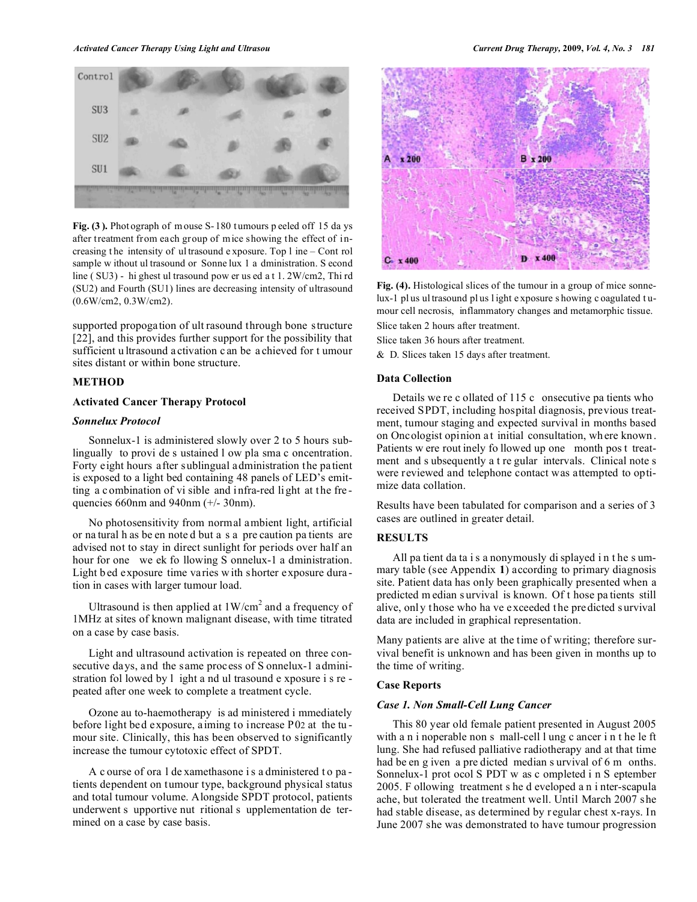

Fig. (3). Photograph of mouse S-180 tumours p eeled off 15 days after treatment from each group of mice showing the effect of increasing t he intensity of ul trasound e xposure. Top l ine – Cont rol sample w ithout ul trasound or Sonne lux 1 a dministration. S econd line ( SU3) - hi ghest ul trasound pow er us ed a t 1. 2W/cm2, Thi rd (SU2) and Fourth (SU1) lines are decreasing intensity of ultrasound (0.6W/cm2, 0.3W/cm2).

supported propogation of ult rasound through bone structure [22], and this provides further support for the possibility that sufficient u ltrasound activation c an be a chieved for t umour sites distant or within bone structure.

### **METHOD**

### **Activated Cancer Therapy Protocol**

#### *Sonnelux Protocol*

 Sonnelux-1 is administered slowly over 2 to 5 hours sublingually to provi de s ustained l ow pla sma c oncentration. Forty eight hours after sublingual administration the patient is exposed to a light bed containing 48 panels of LED's emitting a combination of vi sible and infra-red light at the fre quencies 660nm and 940nm (+/- 30nm).

 No photosensitivity from normal ambient light, artificial or na tural h as be en note d but a s a pre caution pa tients are advised not to stay in direct sunlight for periods over half an hour for one we ek fo llowing S onnelux-1 a dministration. Light b ed exposure time varies w ith shorter exposure duration in cases with larger tumour load.

Ultrasound is then applied at  $1 \text{W/cm}^2$  and a frequency of 1MHz at sites of known malignant disease, with time titrated on a case by case basis.

 Light and ultrasound activation is repeated on three consecutive days, and the same process of S onnelux-1 administration fol lowed by l ight a nd ul trasound e xposure i s re peated after one week to complete a treatment cycle.

 Ozone au to-haemotherapy is ad ministered i mmediately before light bed exposure, aiming to increase P02 at the tu mour site. Clinically, this has been observed to significantly increase the tumour cytotoxic effect of SPDT.

 A c ourse of ora l de xamethasone i s a dministered t o pa tients dependent on tumour type, background physical status and total tumour volume. Alongside SPDT protocol, patients underwent s upportive nut ritional s upplementation de termined on a case by case basis.



**Fig. (4).** Histological slices of the tumour in a group of mice sonnelux-1 pl us ul trasound pl us l ight e xposure s howing c oagulated t umour cell necrosis, inflammatory changes and metamorphic tissue. Slice taken 2 hours after treatment.

Slice taken 36 hours after treatment.

& D. Slices taken 15 days after treatment.

#### **Data Collection**

 Details we re c ollated of 115 c onsecutive pa tients who received SPDT, including hospital diagnosis, previous treatment, tumour staging and expected survival in months based on Oncologist opinion at initial consultation, wh ere known . Patients w ere rout inely fo llowed up one month pos t treatment and s ubsequently a t re gular intervals. Clinical note s were reviewed and telephone contact was attempted to optimize data collation.

Results have been tabulated for comparison and a series of 3 cases are outlined in greater detail.

### **RESULTS**

 All pa tient da ta i s a nonymously di splayed i n t he s ummary table (see Appendix **1**) according to primary diagnosis site. Patient data has only been graphically presented when a predicted m edian s urvival is known. Of t hose pa tients still alive, only those who ha ve exceeded the predicted s urvival data are included in graphical representation.

Many patients are alive at the time of writing; therefore survival benefit is unknown and has been given in months up to the time of writing.

### **Case Reports**

#### *Case 1. Non Small-Cell Lung Cancer*

 This 80 year old female patient presented in August 2005 with a n i noperable non s mall-cell l ung c ancer i n t he le ft lung. She had refused palliative radiotherapy and at that time had be en g iven a pre dicted median s urvival of 6 m onths. Sonnelux-1 prot ocol S PDT w as c ompleted i n S eptember 2005. F ollowing treatment s he d eveloped a n i nter-scapula ache, but tolerated the treatment well. Until March 2007 she had stable disease, as determined by r egular chest x-rays. In June 2007 she was demonstrated to have tumour progression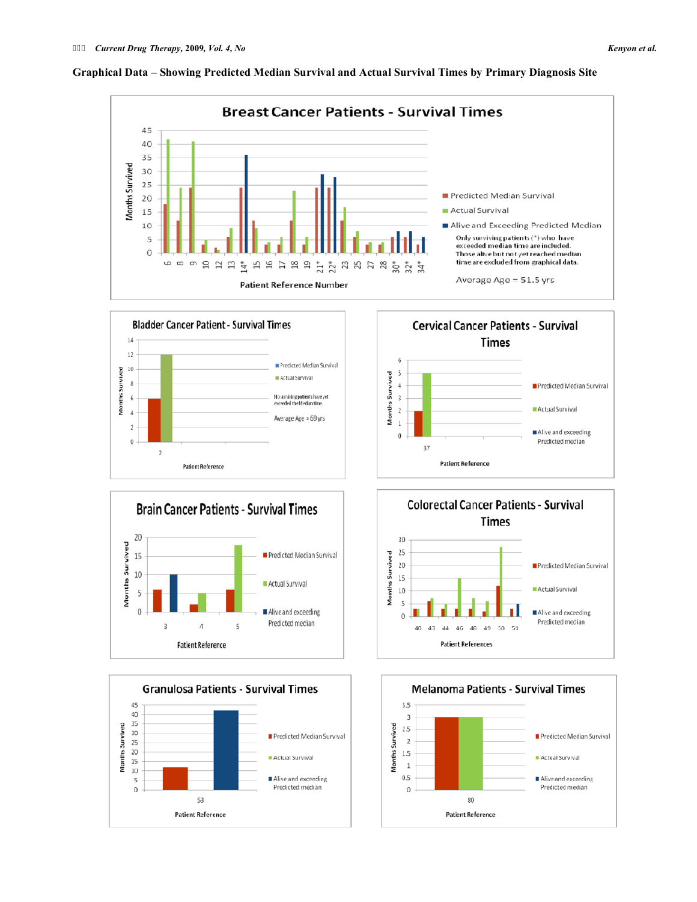

### **Graphical Data – Showing Predicted Median Survival and Actual Survival Times by Primary Diagnosis Site**











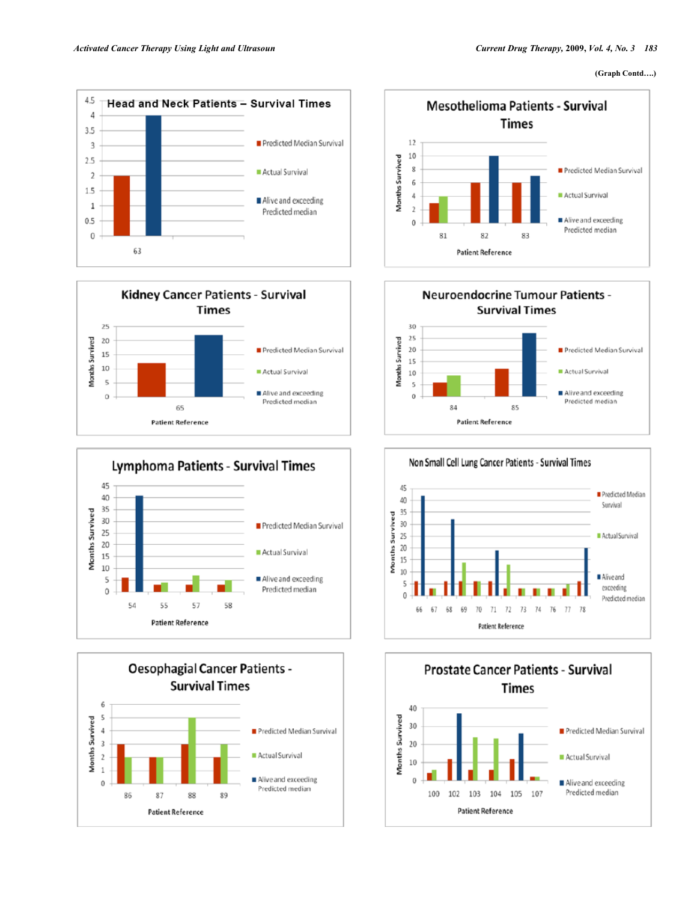#### **(Graph Contd….)**















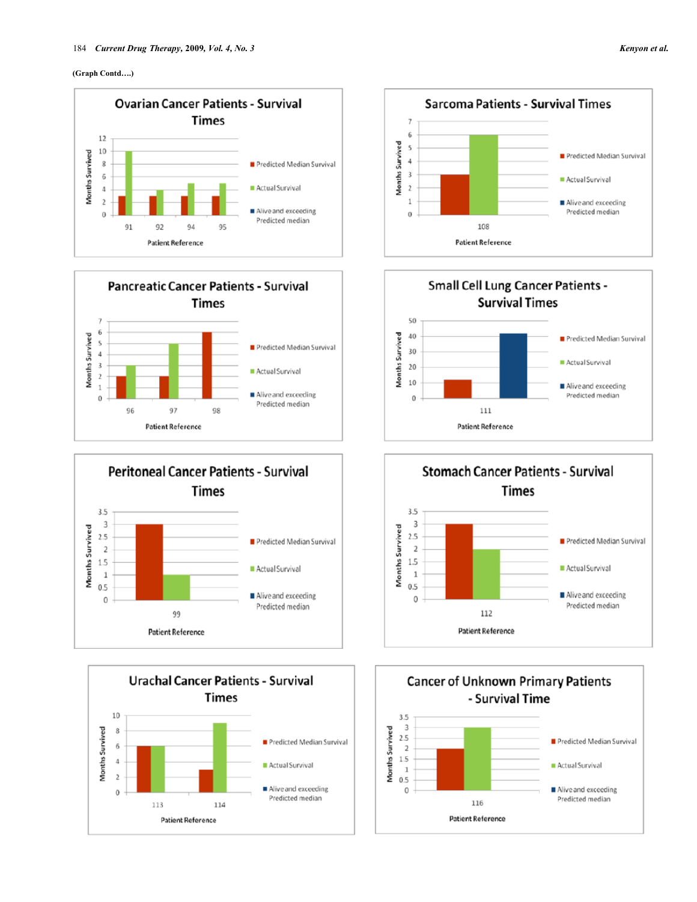













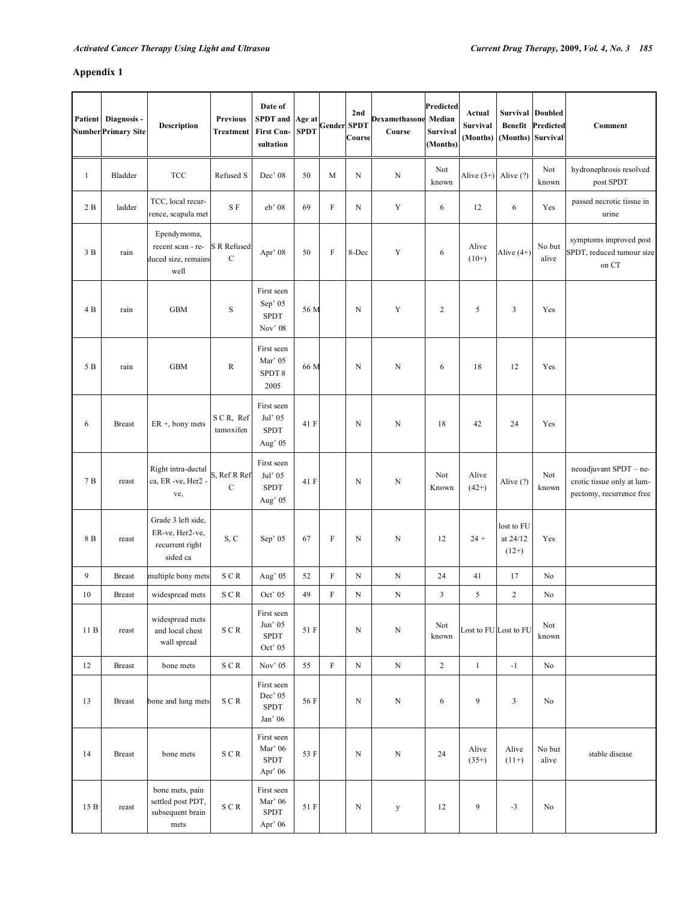# **Appendix 1**

| <b>Patient</b> | Diagnosis -<br>Number Primary Site | <b>Description</b>                                                   | <b>Previous</b><br>Treatment              | Date of<br><b>SPDT</b> and<br><b>First Con-</b><br>sultation | Age at<br><b>SPDT</b> | <b>Gender SPDT</b> | 2nd<br>Course | Dexamethasone<br>Course | Predicted<br>Median<br>Survival<br>(Months) | Actual<br><b>Survival</b><br>(Months) | <b>Survival Doubled</b><br><b>Benefit</b><br>(Months) Survival | Predicted       | Comment                                                                          |
|----------------|------------------------------------|----------------------------------------------------------------------|-------------------------------------------|--------------------------------------------------------------|-----------------------|--------------------|---------------|-------------------------|---------------------------------------------|---------------------------------------|----------------------------------------------------------------|-----------------|----------------------------------------------------------------------------------|
| $\mathbf{1}$   | Bladder                            | <b>TCC</b>                                                           | Refused S                                 | Dec' 08                                                      | 50                    | M                  | $\mathbf N$   | N                       | Not<br>known                                | Alive $(3+)$ Alive $(?)$              |                                                                | Not<br>known    | hydronephrosis resolved<br>post SPDT                                             |
| 2B             | ladder                             | TCC, local recur-<br>rence, scapula met                              | S F                                       | eb' 08                                                       | 69                    | $\rm F$            | N             | $\mathbf Y$             | 6                                           | 12                                    | 6                                                              | Yes             | passed necrotic tissue in<br>urine                                               |
| 3B             | rain                               | Ependymoma,<br>recent scan - re-<br>duced size, remains<br>well      | <b>S</b> R Refused<br>$\mathcal{C}$       | Apr' 08                                                      | 50                    | F                  | 8-Dec         | Y                       | 6                                           | Alive<br>$(10+)$                      | Alive $(4+)$                                                   | No but<br>alive | symptoms improved post<br>SPDT, reduced tumour size<br>on CT                     |
| 4 B            | rain                               | <b>GBM</b>                                                           | ${\bf S}$                                 | First seen<br>Sep' 05<br><b>SPDT</b><br>Nov' 08              | 56 M                  |                    | N             | Y                       | $\overline{2}$                              | 5                                     | 3                                                              | Yes             |                                                                                  |
| 5 B            | rain                               | <b>GBM</b>                                                           | ${\bf R}$                                 | First seen<br>Mar' 05<br>SPDT 8<br>2005                      | 66 M                  |                    | N             | N                       | 6                                           | 18                                    | 12                                                             | Yes             |                                                                                  |
| 6              | <b>Breast</b>                      | $ER +$ , bony mets                                                   | SCR, Ref<br>tamoxifen                     | First seen<br>Jul' 05<br><b>SPDT</b><br>Aug' 05              | 41 F                  |                    | N             | N                       | 18                                          | 42                                    | 24                                                             | Yes             |                                                                                  |
| 7 B            | reast                              | Right intra-ductal<br>ca, ER -ve, Her2 -<br>ve,                      | S, Ref R Ref<br>$\mathcal{C}$             | First seen<br>Jul' 05<br><b>SPDT</b><br>Aug' 05              | 41 F                  |                    | N             | N                       | Not<br>Known                                | Alive<br>$(42+)$                      | Alive (?)                                                      | Not<br>known    | neoadjuvant SPDT - ne-<br>crotic tissue only at lum-<br>pectomy, recurrence free |
| 8 B            | reast                              | Grade 3 left side,<br>ER-ve, Her2-ve,<br>recurrent right<br>sided ca | S, C                                      | Sep' 05                                                      | 67                    | F                  | N             | N                       | 12                                          | $24 +$                                | lost to FU<br>at 24/12<br>$(12+)$                              | Yes             |                                                                                  |
| 9              | <b>Breast</b>                      | multiple bony mets                                                   | SCR                                       | Aug' 05                                                      | 52                    | $\rm F$            | $\mathbf N$   | $\mathbf N$             | 24                                          | 41                                    | 17                                                             | N <sub>o</sub>  |                                                                                  |
| 10             | <b>Breast</b>                      | widespread mets                                                      | SCR                                       | Oct' 05                                                      | 49                    | $\rm F$            | N             | $\mathbf N$             | $\mathfrak{Z}$                              | 5                                     | $\sqrt{2}$                                                     | No              |                                                                                  |
| 11B            | reast                              | widespread mets<br>and local chest<br>wall spread                    | $\mathbf S \mathrel{\mathbf C} \mathbf R$ | First seen<br>Jun' 05<br><b>SPDT</b><br>Oct' 05              | 51 F                  |                    | $\mathbf N$   | N                       | Not<br>known                                | Lost to FU Lost to FU                 |                                                                | Not<br>known    |                                                                                  |
| 12             | <b>Breast</b>                      | bone mets                                                            | ${\bf S} \gets {\bf R}$                   | Nov' 05                                                      | 55                    | $\overline{F}$     | $\mathbf N$   | ${\bf N}$               | $\overline{c}$                              | $\mathbf{1}$                          | $-1$                                                           | No              |                                                                                  |
| 13             | <b>Breast</b>                      | bone and lung mets                                                   | SCR                                       | First seen<br>Dec' 05<br><b>SPDT</b><br>Jan' 06              | 56 F                  |                    | $\mathbf N$   | ${\bf N}$               | 6                                           | 9                                     | $\mathbf{3}$                                                   | No              |                                                                                  |
| 14             | <b>Breast</b>                      | bone mets                                                            | ${\bf S} \gets {\bf R}$                   | First seen<br>Mar' 06<br><b>SPDT</b><br>Apr' 06              | 53 F                  |                    | $\mathbf N$   | ${\bf N}$               | 24                                          | Alive<br>$(35+)$                      | Alive<br>$(11+)$                                               | No but<br>alive | stable disease                                                                   |
| 15 B           | reast                              | bone mets, pain<br>settled post PDT,<br>subsequent brain<br>mets     | SCR                                       | First seen<br>Mar' $06$<br>${\tt SPDT}$<br>Apr' 06           | 51 F                  |                    | $\mathbf N$   | $\mathbf y$             | 12                                          | 9                                     | $-3$                                                           | No              |                                                                                  |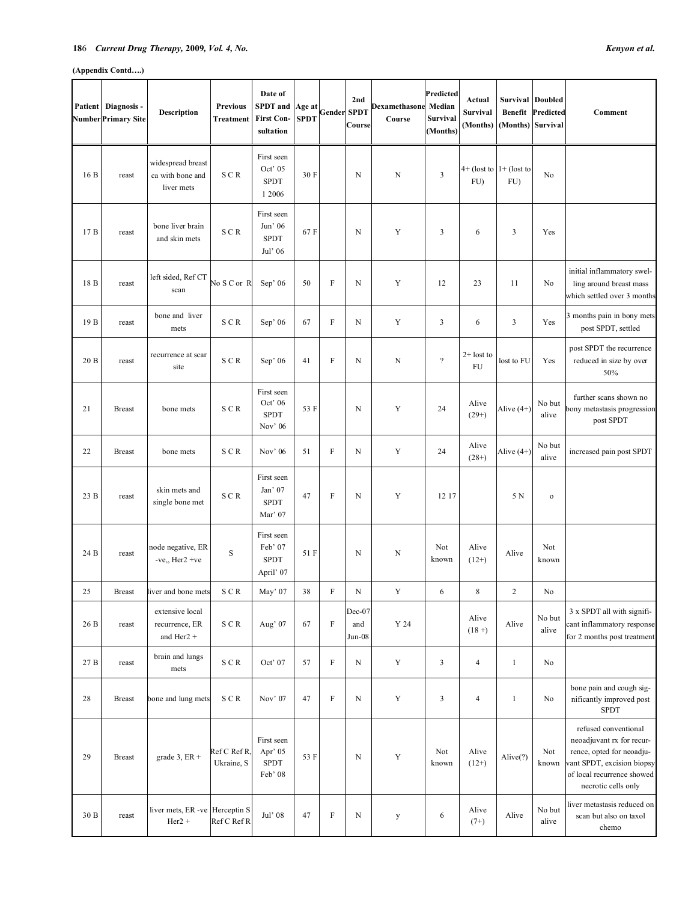### **18**6 *Current Drug Therapy,* **2009***, Vol. 4, No. Kenyon et al.*

| Patient | Diagnosis -<br>Number Primary Site | <b>Description</b>                                  | <b>Previous</b><br><b>Treatment</b> | Date of<br><b>SPDT</b> and<br><b>First Con-</b><br>sultation | Age at<br><b>SPDT</b> | <b>Gender SPDT</b>        | 2nd<br>Course           | Dexamethasone<br>Course | Predicted<br>Median<br>Survival<br>(Months) | Actual<br><b>Survival</b><br>(Months) | Survival<br><b>Benefit</b><br>(Months) | <b>Doubled</b><br>Predicted<br>Survival | Comment                                                                                                                                                           |
|---------|------------------------------------|-----------------------------------------------------|-------------------------------------|--------------------------------------------------------------|-----------------------|---------------------------|-------------------------|-------------------------|---------------------------------------------|---------------------------------------|----------------------------------------|-----------------------------------------|-------------------------------------------------------------------------------------------------------------------------------------------------------------------|
| 16 B    | reast                              | widespread breast<br>ca with bone and<br>liver mets | SCR                                 | First seen<br>Oct' 05<br><b>SPDT</b><br>1 2006               | 30 F                  |                           | $\mathbf N$             | N                       | $\mathbf{3}$                                | $4+$ (lost to $1+$ (lost to<br>FU     | FU                                     | No                                      |                                                                                                                                                                   |
| 17 B    | reast                              | bone liver brain<br>and skin mets                   | SCR                                 | First seen<br>Jun' 06<br><b>SPDT</b><br>Jul' 06              | 67F                   |                           | N                       | Y                       | 3                                           | 6                                     | 3                                      | Yes                                     |                                                                                                                                                                   |
| 18 B    | reast                              | left sided, Ref CT<br>scan                          | No S C or R                         | Sep $'$ 06                                                   | 50                    | F                         | N                       | Y                       | 12                                          | 23                                    | 11                                     | No                                      | initial inflammatory swel-<br>ling around breast mass<br>which settled over 3 months                                                                              |
| 19 B    | reast                              | bone and liver<br>mets                              | SCR                                 | Sep' 06                                                      | 67                    | F                         | $\mathbf N$             | Y                       | 3                                           | 6                                     | $\mathfrak{Z}$                         | Yes                                     | 3 months pain in bony mets<br>post SPDT, settled                                                                                                                  |
| 20B     | reast                              | recurrence at scar<br>site                          | SCR                                 | Sep' 06                                                      | 41                    | F                         | N                       | N                       | $\gamma$                                    | $2+$ lost to<br>FU                    | lost to FU                             | Yes                                     | post SPDT the recurrence<br>reduced in size by over<br>50%                                                                                                        |
| 21      | <b>Breast</b>                      | bone mets                                           | SCR                                 | First seen<br>Oct' 06<br><b>SPDT</b><br>Nov' 06              | 53 F                  |                           | N                       | Y                       | 24                                          | Alive<br>$(29+)$                      | Alive $(4+)$                           | No but<br>alive                         | further scans shown no<br>bony metastasis progression<br>post SPDT                                                                                                |
| 22      | <b>Breast</b>                      | bone mets                                           | SCR                                 | Nov' 06                                                      | 51                    | F                         | $\mathbf N$             | Y                       | 24                                          | Alive<br>$(28+)$                      | Alive $(4+)$                           | No but<br>alive                         | increased pain post SPDT                                                                                                                                          |
| 23 B    | reast                              | skin mets and<br>single bone met                    | SCR                                 | First seen<br>Jan' 07<br><b>SPDT</b><br>Mar' 07              | 47                    | $\rm F$                   | $\mathbf N$             | Y                       | 12 17                                       |                                       | 5 N                                    | $\mathbf 0$                             |                                                                                                                                                                   |
| 24 B    | reast                              | node negative, ER<br>-ve., $Her2 +ve$               | $\mathbf S$                         | First seen<br>Feb' 07<br><b>SPDT</b><br>April' 07            | 51 F                  |                           | N                       | N                       | Not<br>known                                | Alive<br>$(12+)$                      | Alive                                  | Not<br>known                            |                                                                                                                                                                   |
| 25      | <b>Breast</b>                      | liver and bone mets                                 | ${\bf S} \gets {\bf R}$             | May' $07\,$                                                  | 38                    | F                         | N                       | Y                       | 6                                           | 8                                     | 2                                      | $\rm No$                                |                                                                                                                                                                   |
| 26 B    | reast                              | extensive local<br>recurrence, ER<br>and Her2 +     | SCR                                 | Aug' 07                                                      | 67                    | $\rm F$                   | Dec-07<br>and<br>Jun-08 | Y <sub>24</sub>         |                                             | Alive<br>$(18 + )$                    | Alive                                  | No but<br>alive                         | 3 x SPDT all with signifi-<br>cant inflammatory response<br>for 2 months post treatment                                                                           |
| 27 B    | reast                              | brain and lungs<br>mets                             | ${\bf S} \gets {\bf R}$             | Oct' 07                                                      | 57                    | $\boldsymbol{\mathrm{F}}$ | N                       | $\mathbf Y$             | 3                                           | $\overline{4}$                        | $\mathbf{1}$                           | No                                      |                                                                                                                                                                   |
| 28      | <b>Breast</b>                      | bone and lung mets                                  | SCR                                 | Nov' 07                                                      | 47                    | $\boldsymbol{\mathrm{F}}$ | $\mathbf N$             | Y                       | 3                                           | $\overline{4}$                        | $\mathbf{1}$                           | No                                      | bone pain and cough sig-<br>nificantly improved post<br><b>SPDT</b>                                                                                               |
| 29      | <b>Breast</b>                      | grade $3$ , ER +                                    | Ref C Ref R<br>Ukraine, S           | First seen<br>Apr' 05<br><b>SPDT</b><br>Feb' 08              | 53 F                  |                           | N                       | $\mathbf Y$             | Not<br>known                                | Alive<br>$(12+)$                      | Alive(?)                               | Not<br>known                            | refused conventional<br>neoadjuvant rx for recur-<br>rence, opted for neoadju-<br>vant SPDT, excision biopsy<br>of local recurrence showed<br>necrotic cells only |
| 30 B    | reast                              | liver mets, ER -ve Herceptin S<br>$Her2 +$          | Ref C Ref R                         | Jul' 08                                                      | 47                    | F                         | N                       | $\mathbf y$             | 6                                           | Alive<br>$(7+)$                       | Alive                                  | $\rm No$ but<br>alive                   | liver metastasis reduced on<br>scan but also on taxol<br>chemo                                                                                                    |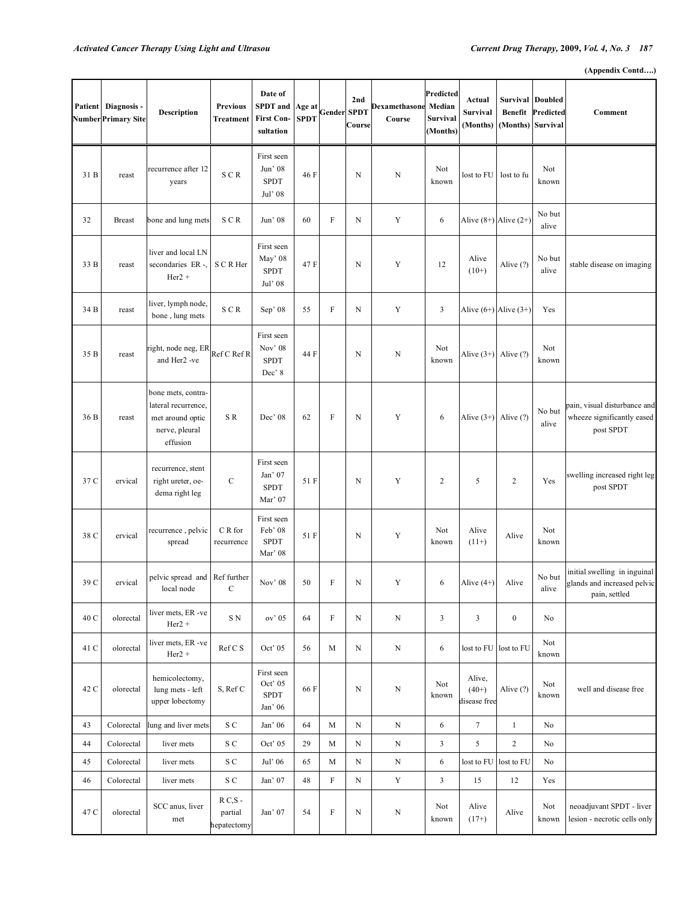```
(Appendix Contd….)
```

| Patient | Diagnosis -<br><b>Number Primary Site</b> | Description                                                                                 | <b>Previous</b><br><b>Treatment</b>  | Date of<br><b>SPDT</b> and<br><b>First Con-</b><br>sultation | Age at<br><b>SPDT</b> | Gender SPDT | 2nd<br>Course | <b>Dexamethasone</b><br>Course | Predicted<br>Median<br>Survival<br>(Months) | Actual<br><b>Survival</b><br>(Months) | <b>Survival Doubled</b><br><b>Benefit</b><br>(Months) | Predicted<br>Survival | Comment                                                                      |
|---------|-------------------------------------------|---------------------------------------------------------------------------------------------|--------------------------------------|--------------------------------------------------------------|-----------------------|-------------|---------------|--------------------------------|---------------------------------------------|---------------------------------------|-------------------------------------------------------|-----------------------|------------------------------------------------------------------------------|
| 31 B    | reast                                     | recurrence after 12<br>years                                                                | SCR                                  | First seen<br>Jun' 08<br><b>SPDT</b><br>Jul' 08              | 46 F                  |             | N             | N                              | Not<br>known                                | lost to FU                            | lost to fu                                            | Not<br>known          |                                                                              |
| 32      | <b>Breast</b>                             | bone and lung mets                                                                          | SCR                                  | Jun' 08                                                      | 60                    | $\rm F$     | N             | Y                              | 6                                           |                                       | Alive $(8+)$ Alive $(2+)$                             | No but<br>alive       |                                                                              |
| 33 B    | reast                                     | liver and local LN<br>secondaries ER-,<br>$Her2 +$                                          | S C R Her                            | First seen<br>May' 08<br><b>SPDT</b><br>Jul' 08              | 47 F                  |             | N             | Y                              | 12                                          | Alive<br>$(10+)$                      | Alive (?)                                             | No but<br>alive       | stable disease on imaging                                                    |
| 34 B    | reast                                     | liver, lymph node,<br>bone, lung mets                                                       | SCR                                  | Sep' 08                                                      | 55                    | F           | N             | Y                              | 3                                           | Alive $(6+)$ Alive $(3+)$             |                                                       | Yes                   |                                                                              |
| 35 B    | reast                                     | right, node neg, ER<br>and Her2 -ve                                                         | Ref C Ref R                          | First seen<br>Nov' 08<br><b>SPDT</b><br>Dec'8                | 44 F                  |             | N             | N                              | Not<br>known                                | Alive $(3+)$ Alive $(?)$              |                                                       | Not<br>known          |                                                                              |
| 36 B    | reast                                     | bone mets, contra-<br>lateral recurrence,<br>met around optic<br>nerve, pleural<br>effusion | SR.                                  | Dec' 08                                                      | 62                    | F           | N             | Y                              | 6                                           | Alive $(3+)$ Alive $(?)$              |                                                       | No but<br>alive       | pain, visual disturbance and<br>wheeze significantly eased<br>post SPDT      |
| 37 C    | ervical                                   | recurrence, stent<br>right ureter, oe-<br>dema right leg                                    | $\mathcal{C}$                        | First seen<br>Jan' 07<br><b>SPDT</b><br>Mar' 07              | 51 F                  |             | N             | Y                              | $\overline{2}$                              | 5                                     | $\sqrt{2}$                                            | Yes                   | swelling increased right leg<br>post SPDT                                    |
| 38 C    | ervical                                   | recurrence, pelvic<br>spread                                                                | C R for<br>recurrence                | First seen<br>Feb' 08<br><b>SPDT</b><br>Mar' 08              | 51 F                  |             | N             | Y                              | Not<br>known                                | Alive<br>$(11+)$                      | Alive                                                 | Not<br>known          |                                                                              |
| 39 C    | ervical                                   | pelvic spread and Ref further<br>local node                                                 | C                                    | Nov' 08                                                      | 50                    | $\rm F$     | N             | Y                              | 6                                           | Alive $(4+)$                          | Alive                                                 | No but<br>alive       | initial swelling in inguinal<br>glands and increased pelvic<br>pain, settled |
| 40 C    | olorectal                                 | liver mets, ER-ve<br>$Her2 +$                                                               | S N                                  | ov' 05                                                       | 64                    | $\rm F$     | $\mathbf N$   | $\mathbf N$                    | $\mathfrak{Z}$                              | $\mathfrak{Z}$                        | $\boldsymbol{0}$                                      | No                    |                                                                              |
| 41 C    | olorectal                                 | liver mets, ER-ve<br>$Her2 +$                                                               | Ref C S                              | Oct' 05                                                      | 56                    | M           | $\mathbf N$   | $\mathbf N$                    | 6                                           |                                       | lost to FU lost to FU                                 | Not<br>known          |                                                                              |
| 42 C    | olorectal                                 | hemicolectomy,<br>lung mets - left<br>upper lobectomy                                       | S, Ref C                             | First seen<br>Oct' $05$<br><b>SPDT</b><br>Jan' 06            | 66 F                  |             | $\mathbf N$   | $\mathbf N$                    | Not<br>known                                | Alive,<br>$(40+)$<br>disease free     | Alive (?)                                             | Not<br>known          | well and disease free                                                        |
| 43      | Colorectal                                | lung and liver mets                                                                         | ${\bf S}$ ${\bf C}$                  | Jan' 06                                                      | 64                    | M           | $\mathbf N$   | $\mathbf N$                    | 6                                           | $7\overline{ }$                       | $\mathbf{1}$                                          | No                    |                                                                              |
| 44      | Colorectal                                | liver mets                                                                                  | ${\bf S}$ ${\bf C}$                  | Oct' 05                                                      | 29                    | M           | $\mathbf N$   | $\mathbf N$                    | $\mathfrak{Z}$                              | 5                                     | $\overline{c}$                                        | No                    |                                                                              |
| 45      | Colorectal                                | liver mets                                                                                  | S C                                  | Jul' 06                                                      | 65                    | M           | ${\bf N}$     | ${\bf N}$                      | 6                                           | lost to FU                            | lost to FU                                            | No                    |                                                                              |
| 46      | Colorectal                                | liver mets                                                                                  | ${\bf S}$ ${\bf C}$                  | Jan' 07                                                      | 48                    | $\rm F$     | N             | $\mathbf Y$                    | $\mathfrak{Z}$                              | 15                                    | 12                                                    | Yes                   |                                                                              |
| 47 C    | olorectal                                 | SCC anus, liver<br>met                                                                      | $R C, S -$<br>partial<br>hepatectomy | Jan' 07                                                      | 54                    | $\mathbf F$ | $\mathbf N$   | $\mathbf N$                    | Not<br>known                                | Alive<br>$(17+)$                      | Alive                                                 | Not<br>known          | neoadjuvant SPDT - liver<br>lesion - necrotic cells only                     |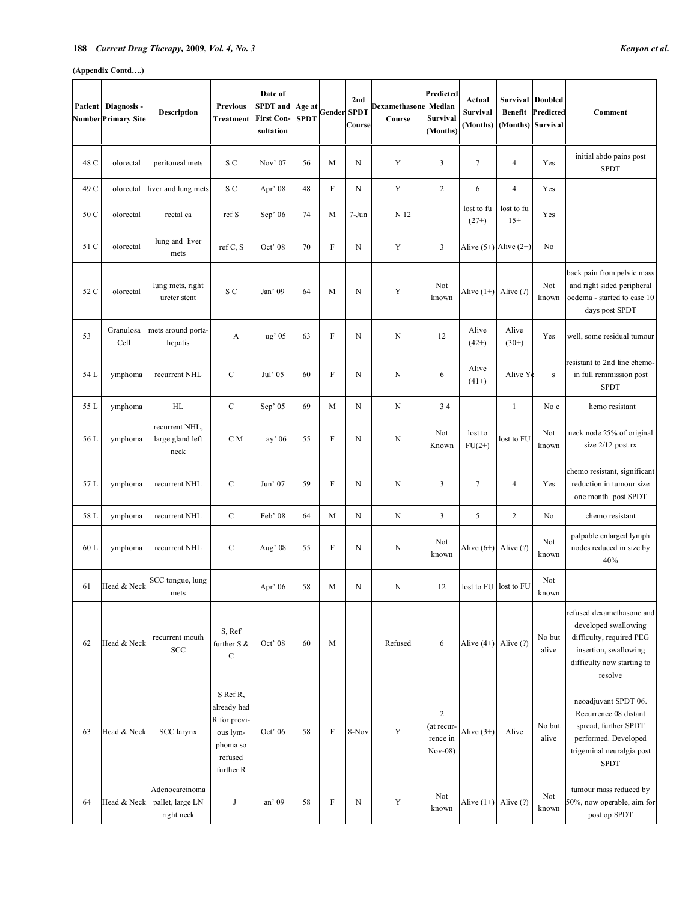|      | Patient Diagnosis -<br><b>Number Primary Site</b> | <b>Description</b>                               | <b>Previous</b><br><b>Treatment</b>                                                     | Date of<br><b>SPDT</b> and<br><b>First Con-</b><br>sultation | Age at<br><b>SPDT</b> | Gender                    | 2nd<br><b>SPDT</b><br>Course | Dexamethasone Median<br>Course | Predicted<br>Survival<br>(Months)                       | Actual<br><b>Survival</b><br>(Months) | Survival<br><b>Benefit</b><br>(Months) | <b>Doubled</b><br>Predicted<br>Survival | Comment                                                                                                                                         |
|------|---------------------------------------------------|--------------------------------------------------|-----------------------------------------------------------------------------------------|--------------------------------------------------------------|-----------------------|---------------------------|------------------------------|--------------------------------|---------------------------------------------------------|---------------------------------------|----------------------------------------|-----------------------------------------|-------------------------------------------------------------------------------------------------------------------------------------------------|
| 48 C | olorectal                                         | peritoneal mets                                  | S C                                                                                     | Nov' 07                                                      | 56                    | M                         | N                            | Y                              | 3                                                       | $\tau$                                | 4                                      | Yes                                     | initial abdo pains post<br><b>SPDT</b>                                                                                                          |
| 49 C | olorectal                                         | liver and lung mets                              | S C                                                                                     | Apr' 08                                                      | 48                    | $\rm F$                   | ${\bf N}$                    | Y                              | $\overline{c}$                                          | 6                                     | $\overline{\mathbf{4}}$                | Yes                                     |                                                                                                                                                 |
| 50 C | olorectal                                         | rectal ca                                        | ref S                                                                                   | Sep $\degree$ 06                                             | 74                    | M                         | $7-Jun$                      | N 12                           |                                                         | lost to fu<br>$(27+)$                 | lost to fu<br>$15+$                    | Yes                                     |                                                                                                                                                 |
| 51 C | olorectal                                         | lung and liver<br>mets                           | ref C, S                                                                                | Oct' 08                                                      | 70                    | $\boldsymbol{\mathrm{F}}$ | N                            | Y                              | 3                                                       | Alive $(5+)$ Alive $(2+)$             |                                        | No                                      |                                                                                                                                                 |
| 52 C | olorectal                                         | lung mets, right<br>ureter stent                 | S C                                                                                     | Jan' 09                                                      | 64                    | M                         | N                            | Y                              | Not<br>known                                            | Alive $(1+)$ Alive $(?)$              |                                        | Not<br>known                            | back pain from pelvic mass<br>and right sided peripheral<br>oedema - started to ease 10<br>days post SPDT                                       |
| 53   | Granulosa<br>Cell                                 | mets around porta-<br>hepatis                    | A                                                                                       | ug' 05                                                       | 63                    | F                         | N                            | N                              | 12                                                      | Alive<br>$(42+)$                      | Alive<br>$(30+)$                       | Yes                                     | well, some residual tumour                                                                                                                      |
| 54 L | ymphoma                                           | recurrent NHL                                    | $\mathcal{C}$                                                                           | Jul' 05                                                      | 60                    | F                         | N                            | N                              | 6                                                       | Alive<br>$(41+)$                      | Alive Ye                               | $\,$ S                                  | resistant to 2nd line chemo-<br>in full remmission post<br><b>SPDT</b>                                                                          |
| 55 L | ymphoma                                           | HL                                               | $\mathbf C$                                                                             | Sep' 05                                                      | 69                    | M                         | $\mathbf N$                  | ${\bf N}$                      | 34                                                      |                                       | $\mathbf{1}$                           | No c                                    | hemo resistant                                                                                                                                  |
| 56 L | ymphoma                                           | recurrent NHL,<br>large gland left<br>neck       | C M                                                                                     | ay' 06                                                       | 55                    | F                         | N                            | N                              | Not<br>Known                                            | lost to<br>$FU(2+)$                   | lost to FU                             | Not<br>known                            | neck node 25% of original<br>size 2/12 post rx                                                                                                  |
| 57 L | ymphoma                                           | recurrent NHL                                    | $\mathcal{C}$                                                                           | Jun' $07$                                                    | 59                    | F                         | N                            | N                              | 3                                                       | $\tau$                                | 4                                      | Yes                                     | chemo resistant, significant<br>reduction in tumour size<br>one month post SPDT                                                                 |
| 58 L | ymphoma                                           | recurrent NHL                                    | $\mathbf C$                                                                             | Feb' 08                                                      | 64                    | M                         | $\mathbf N$                  | $\mathbf N$                    | 3                                                       | 5                                     | $\overline{c}$                         | No                                      | chemo resistant                                                                                                                                 |
| 60 L | ymphoma                                           | recurrent NHL                                    | $\mathcal{C}$                                                                           | Aug' 08                                                      | 55                    | F                         | N                            | N                              | Not<br>known                                            | Alive $(6+)$ Alive $(?)$              |                                        | Not<br>known                            | palpable enlarged lymph<br>nodes reduced in size by<br>40%                                                                                      |
| 61   | Head & Neck                                       | SCC tongue, lung<br>mets                         |                                                                                         | Apr' 06                                                      | 58                    | M                         | N                            | N                              | 12                                                      | lost to FU lost to FU                 |                                        | Not<br>known                            |                                                                                                                                                 |
| 62   | Head & Neck                                       | recurrent mouth<br>SCC                           | S, Ref<br>further S &<br>$\mathcal{C}$                                                  | Oct' 08                                                      | 60                    | M                         |                              | Refused                        | 6                                                       | Alive $(4+)$ Alive $(?)$              |                                        | No but<br>alive                         | refused dexamethasone and<br>developed swallowing<br>difficulty, required PEG<br>insertion, swallowing<br>difficulty now starting to<br>resolve |
| 63   | Head & Neck                                       | SCC larynx                                       | S Ref R,<br>already had<br>R for previ-<br>ous lym-<br>phoma so<br>refused<br>further R | Oct' 06                                                      | 58                    | F                         | 8-Nov                        | Y                              | $\boldsymbol{2}$<br>(at recur-<br>rence in<br>$Nov-08)$ | Alive $(3+)$                          | Alive                                  | No but<br>alive                         | neoadjuvant SPDT 06.<br>Recurrence 08 distant<br>spread, further SPDT<br>performed. Developed<br>trigeminal neuralgia post<br><b>SPDT</b>       |
| 64   | Head & Neck                                       | Adenocarcinoma<br>pallet, large LN<br>right neck | $_{\rm J}$                                                                              | an' 09                                                       | 58                    | $\boldsymbol{\mathrm{F}}$ | N                            | Y                              | Not<br>known                                            | Alive $(1+)$ Alive $(?)$              |                                        | Not<br>known                            | tumour mass reduced by<br>50%, now operable, aim for<br>post op SPDT                                                                            |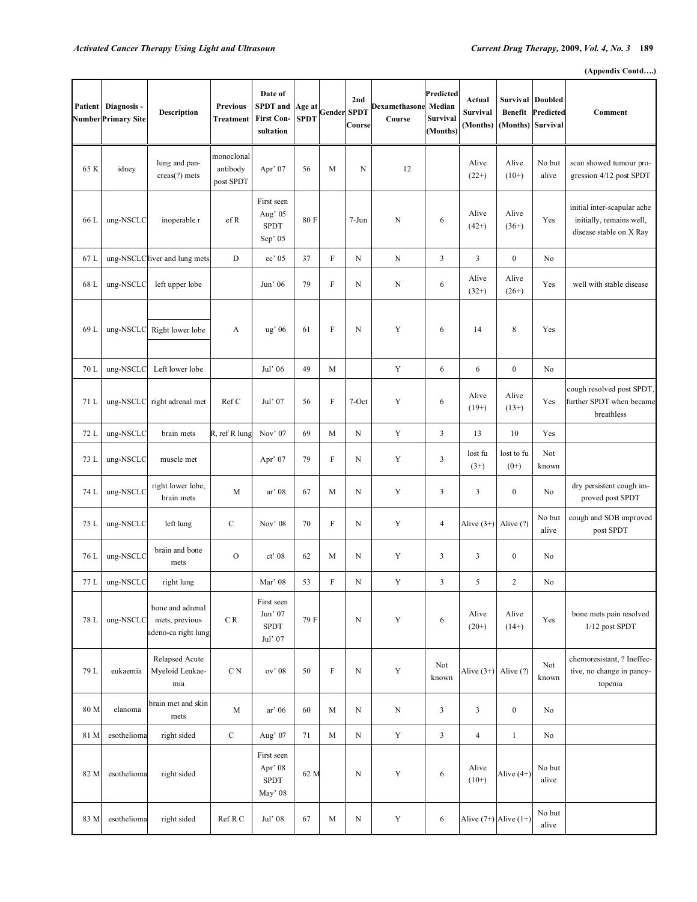| <b>Patient</b> | Diagnosis -<br>Number Primary Site | <b>Description</b>                                        | <b>Previous</b><br><b>Treatment</b> | Date of<br><b>SPDT</b> and<br><b>First Con-</b><br>sultation | Age at<br><b>SPDT</b> | <b>Gender SPDT</b>        | 2nd<br>Course | <b>Dexamethasone</b><br>Course | <b>Predicted</b><br>Median<br>Survival<br>(Months) | Actual<br><b>Survival</b><br>(Months) | <b>Benefit</b><br>(Months) | <b>Survival Doubled</b><br>Predicted<br>Survival | Comment                                                                            |
|----------------|------------------------------------|-----------------------------------------------------------|-------------------------------------|--------------------------------------------------------------|-----------------------|---------------------------|---------------|--------------------------------|----------------------------------------------------|---------------------------------------|----------------------------|--------------------------------------------------|------------------------------------------------------------------------------------|
| 65 K           | idney                              | lung and pan-<br>$creas(?)$ mets                          | monoclonal<br>antibody<br>post SPDT | Apr' 07                                                      | 56                    | M                         | N             | 12                             |                                                    | Alive<br>$(22+)$                      | Alive<br>$(10+)$           | No but<br>alive                                  | scan showed tumour pro-<br>gression 4/12 post SPDT                                 |
| 66 L           | ung-NSCLC                          | inoperable r                                              | ef R                                | First seen<br>Aug' 05<br><b>SPDT</b><br>Sep' 05              | 80F                   |                           | $7-Jun$       | N                              | 6                                                  | Alive<br>$(42+)$                      | Alive<br>$(36+)$           | Yes                                              | initial inter-scapular ache<br>initially, remains well,<br>disease stable on X Ray |
| 67 L           |                                    | ung-NSCLC liver and lung mets                             | $\mathbf D$                         | ec' 05                                                       | 37                    | $\rm F$                   | $\mathbf N$   | N                              | $\mathfrak{Z}$                                     | 3                                     | $\boldsymbol{0}$           | No                                               |                                                                                    |
| 68 L           | ung-NSCLC                          | left upper lobe                                           |                                     | Jun' 06                                                      | 79                    | $\rm F$                   | $\mathbf N$   | $\mathbf N$                    | 6                                                  | Alive<br>$(32+)$                      | Alive<br>$(26+)$           | Yes                                              | well with stable disease                                                           |
| 69 L           | ung-NSCLC                          | Right lower lobe                                          | A                                   | $\mathrm{ug}^\mathrm{*}$ 06                                  | 61                    | F                         | $\mathbf N$   | Y                              | 6                                                  | 14                                    | $\,$ 8 $\,$                | Yes                                              |                                                                                    |
| 70 L           | ung-NSCLC                          | Left lower lobe                                           |                                     | Jul' 06                                                      | 49                    | M                         |               | $\mathbf Y$                    | 6                                                  | 6                                     | $\boldsymbol{0}$           | No                                               |                                                                                    |
| 71 L           | ung-NSCLC                          | right adrenal met                                         | Ref C                               | Jul' 07                                                      | 56                    | $\mathbf F$               | 7-Oct         | Y                              | 6                                                  | Alive<br>$(19+)$                      | Alive<br>$(13+)$           | Yes                                              | cough resolved post SPDT,<br>further SPDT when became<br>breathless                |
| 72 L           | ung-NSCLC                          | brain mets                                                | R, ref R lung                       | Nov' 07                                                      | 69                    | M                         | $\mathbf N$   | Y                              | $\mathfrak{Z}$                                     | 13                                    | 10                         | Yes                                              |                                                                                    |
| 73 L           | ung-NSCLC                          | muscle met                                                |                                     | Apr' $07$                                                    | 79                    | F                         | N             | Y                              | 3                                                  | lost fu<br>$(3+)$                     | lost to fu<br>$(0+)$       | Not<br>known                                     |                                                                                    |
| 74 L           | ung-NSCLC                          | right lower lobe,<br>brain mets                           | M                                   | ar' 08                                                       | 67                    | M                         | $\mathbf N$   | Y                              | 3                                                  | 3                                     | $\boldsymbol{0}$           | No                                               | dry persistent cough im-<br>proved post SPDT                                       |
| 75 L           | ung-NSCLC                          | left lung                                                 | $\mathbf C$                         | Nov' 08                                                      | 70                    | $\boldsymbol{\mathrm{F}}$ | $\mathbf N$   | Y                              | $\overline{4}$                                     | Alive $(3+)$                          | Alive (?)                  | No but<br>alive                                  | cough and SOB improved<br>post SPDT                                                |
| 76 L           | ung-NSCLC                          | brain and bone<br>mets                                    | $\mathcal{O}$                       | ct' 08                                                       | 62                    | M                         | $\mathbf N$   | Y                              | 3                                                  | 3                                     | $\boldsymbol{0}$           | No                                               |                                                                                    |
| 77 L           | ung-NSCLC                          | right lung                                                |                                     | Mar' 08                                                      | 53                    | F                         | $\mathbf N$   | Y                              | 3                                                  | 5                                     | $\overline{2}$             | No                                               |                                                                                    |
| 78 L           | ung-NSCLC                          | bone and adrenal<br>mets, previous<br>adeno-ca right lung | $\cal C$ R                          | First seen<br>Jun' 07<br><b>SPDT</b><br>Jul' 07              | 79 F                  |                           | $\mathbf N$   | Y                              | 6                                                  | Alive<br>$(20+)$                      | Alive<br>$(14+)$           | Yes                                              | bone mets pain resolved<br>1/12 post SPDT                                          |
| 79 L           | eukaemia                           | Relapsed Acute<br>Myeloid Leukae-<br>mia                  | C <sub>N</sub>                      | ov' 08                                                       | 50                    | F                         | $\mathbf N$   | Y                              | Not<br>known                                       | Alive $(3+)$ Alive $(?)$              |                            | Not<br>known                                     | chemoresistant, ? Ineffec-<br>tive, no change in pancy-<br>topenia                 |
| 80 M           | elanoma                            | brain met and skin<br>mets                                | $\mathbf M$                         | ar' 06                                                       | 60                    | M                         | ${\bf N}$     | N                              | 3                                                  | 3                                     | $\boldsymbol{0}$           | No                                               |                                                                                    |
| 81 M           | esothelioma                        | right sided                                               | $\mathbf C$                         | Aug' 07                                                      | 71                    | M                         | ${\bf N}$     | $\mathbf Y$                    | $\mathfrak{Z}$                                     | $\overline{4}$                        | $\mathbf{1}$               | No                                               |                                                                                    |
| 82 M           | esothelioma                        | right sided                                               |                                     | First seen<br>Apr' 08<br><b>SPDT</b><br>May' 08              | 62 M                  |                           | $\mathbf N$   | Y                              | 6                                                  | Alive<br>$(10+)$                      | Alive $(4+)$               | No but<br>alive                                  |                                                                                    |
| 83 M           | esothelioma                        | right sided                                               | Ref R C                             | Jul' 08                                                      | 67                    | M                         | ${\bf N}$     | Y                              | 6                                                  | Alive $(7+)$ Alive $(1+)$             |                            | No but<br>alive                                  |                                                                                    |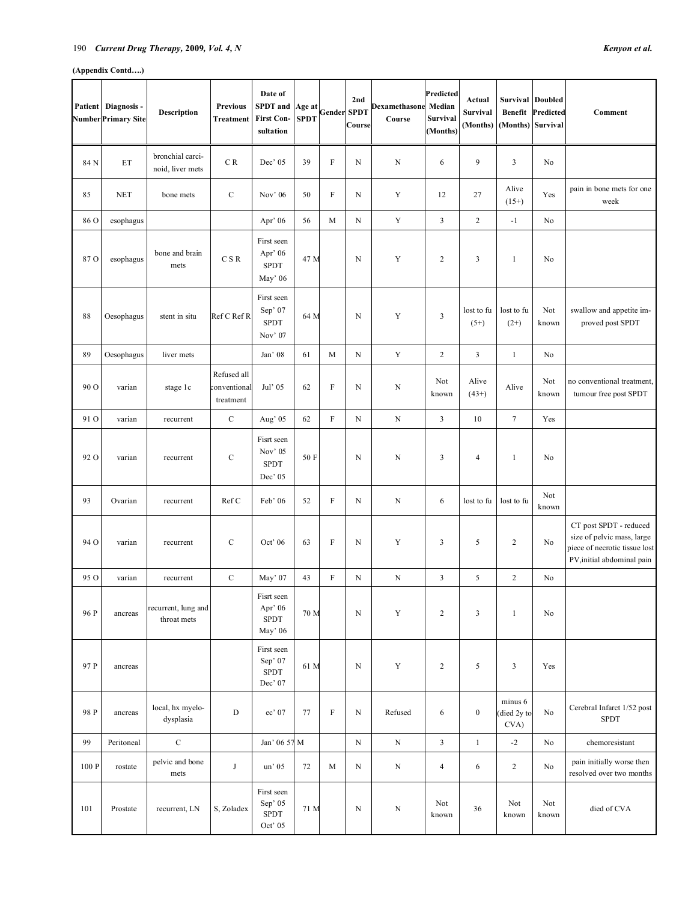### 190 *Current Drug Therapy,* **2009***, Vol. 4, N Kenyon et al.*

|       | Patient Diagnosis -<br><b>Number Primary Site</b> | Description                          | <b>Previous</b><br><b>Treatment</b>      | Date of<br><b>SPDT</b> and<br><b>First Con-</b><br>sultation | Age at<br><b>SPDT</b> | Gender                    | 2nd<br><b>SPDT</b><br>Course | Dexamethasone<br>Course | <b>Predicted</b><br>Median<br>Survival<br>(Months) | Actual<br><b>Survival</b><br>(Months) | Survival<br><b>Benefit</b><br>(Months) | <b>Doubled</b><br>Predicted<br>Survival | <b>Comment</b>                                                                                                      |
|-------|---------------------------------------------------|--------------------------------------|------------------------------------------|--------------------------------------------------------------|-----------------------|---------------------------|------------------------------|-------------------------|----------------------------------------------------|---------------------------------------|----------------------------------------|-----------------------------------------|---------------------------------------------------------------------------------------------------------------------|
| 84 N  | ET                                                | bronchial carci-<br>noid, liver mets | C R                                      | Dec' 05                                                      | 39                    | $\rm F$                   | N                            | ${\bf N}$               | 6                                                  | 9                                     | 3                                      | No                                      |                                                                                                                     |
| 85    | <b>NET</b>                                        | bone mets                            | $\mathbf C$                              | Nov' 06                                                      | 50                    | $\boldsymbol{\mathrm{F}}$ | N                            | Y                       | 12                                                 | 27                                    | Alive<br>$(15+)$                       | Yes                                     | pain in bone mets for one<br>week                                                                                   |
| 86 O  | esophagus                                         |                                      |                                          | Apr $\degree$ 06                                             | 56                    | M                         | ${\bf N}$                    | Y                       | 3                                                  | $\overline{c}$                        | $-1$                                   | No                                      |                                                                                                                     |
| 87 O  | esophagus                                         | bone and brain<br>mets               | C S R                                    | First seen<br>Apr' 06<br><b>SPDT</b><br>May' 06              | 47 M                  |                           | N                            | Y                       | $\overline{c}$                                     | 3                                     | $\mathbf{1}$                           | No                                      |                                                                                                                     |
| 88    | Oesophagus                                        | stent in situ                        | Ref C Ref R                              | First seen<br>Sep' 07<br><b>SPDT</b><br>Nov' 07              | 64 M                  |                           | N                            | Y                       | 3                                                  | lost to fu<br>$(5+)$                  | lost to fu<br>$(2+)$                   | Not<br>known                            | swallow and appetite im-<br>proved post SPDT                                                                        |
| 89    | Oesophagus                                        | liver mets                           |                                          | Jan' 08                                                      | 61                    | M                         | $\mathbf N$                  | Y                       | $\boldsymbol{2}$                                   | 3                                     | $\mathbf{1}$                           | No                                      |                                                                                                                     |
| 90 O  | varian                                            | stage 1c                             | Refused all<br>conventional<br>treatment | Jul' 05                                                      | 62                    | $\boldsymbol{\mathrm{F}}$ | ${\bf N}$                    | N                       | Not<br>known                                       | Alive<br>$(43+)$                      | Alive                                  | Not<br>known                            | no conventional treatment,<br>tumour free post SPDT                                                                 |
| 91 O  | varian                                            | recurrent                            | $\mathbf C$                              | Aug' 05                                                      | 62                    | F                         | ${\bf N}$                    | ${\bf N}$               | 3                                                  | 10                                    | $\boldsymbol{7}$                       | Yes                                     |                                                                                                                     |
| 92 O  | varian                                            | recurrent                            | $\mathbf C$                              | Fisrt seen<br>Nov' 05<br><b>SPDT</b><br>Dec' 05              | 50 F                  |                           | $\mathbf N$                  | N                       | 3                                                  | $\overline{4}$                        | $\mathbf{1}$                           | No                                      |                                                                                                                     |
| 93    | Ovarian                                           | recurrent                            | Ref C                                    | Feb' 06                                                      | 52                    | $\boldsymbol{\mathrm{F}}$ | N                            | N                       | 6                                                  | lost to fu                            | lost to fu                             | Not<br>known                            |                                                                                                                     |
| 94 O  | varian                                            | recurrent                            | $\mathbf C$                              | Oct' 06                                                      | 63                    | F                         | N                            | Y                       | 3                                                  | 5                                     | $\overline{2}$                         | No                                      | CT post SPDT - reduced<br>size of pelvic mass, large<br>piece of necrotic tissue lost<br>PV, initial abdominal pain |
| 95 O  | varian                                            | recurrent                            | $\mathbf C$                              | May' 07                                                      | 43                    | ${\rm F}$                 | $\mathbf N$                  | $\mathbf N$             | 3                                                  | 5                                     | $\overline{c}$                         | No                                      |                                                                                                                     |
| 96 P  | ancreas                                           | recurrent, lung and<br>throat mets   |                                          | Fisrt seen<br>Apr' 06<br><b>SPDT</b><br>May' 06              | 70 M                  |                           | $\mathbf N$                  | Y                       | $\overline{c}$                                     | 3                                     | $\mathbf{1}$                           | No                                      |                                                                                                                     |
| 97 P  | ancreas                                           |                                      |                                          | First seen<br>Sep' 07<br><b>SPDT</b><br>Dec' 07              | 61 M                  |                           | N                            | Y                       | $\boldsymbol{2}$                                   | 5                                     | 3                                      | Yes                                     |                                                                                                                     |
| 98 P  | ancreas                                           | local, hx myelo-<br>dysplasia        | $\mathbf D$                              | ec' 07                                                       | 77                    | F                         | N                            | Refused                 | 6                                                  | $\boldsymbol{0}$                      | minus 6<br>(died 2y to<br>CVA)         | No                                      | Cerebral Infarct 1/52 post<br><b>SPDT</b>                                                                           |
| 99    | Peritoneal                                        | $\mathbf C$                          |                                          | Jan' 06 57 M                                                 |                       |                           | ${\bf N}$                    | ${\bf N}$               | $\mathfrak{Z}$                                     | $\mathbf{1}$                          | $-2$                                   | No                                      | chemoresistant                                                                                                      |
| 100 P | rostate                                           | pelvic and bone<br>mets              | J                                        | un' 05                                                       | 72                    | M                         | $\mathbf N$                  | $\mathbf N$             | $\overline{\mathcal{A}}$                           | 6                                     | $\sqrt{2}$                             | No                                      | pain initially worse then<br>resolved over two months                                                               |
| 101   | Prostate                                          | recurrent, LN                        | S, Zoladex                               | First seen<br>Sep' 05<br><b>SPDT</b><br>Oct' 05              | 71 M                  |                           | $\mathbf N$                  | $\mathbf N$             | Not<br>known                                       | 36                                    | Not<br>known                           | Not<br>known                            | died of CVA                                                                                                         |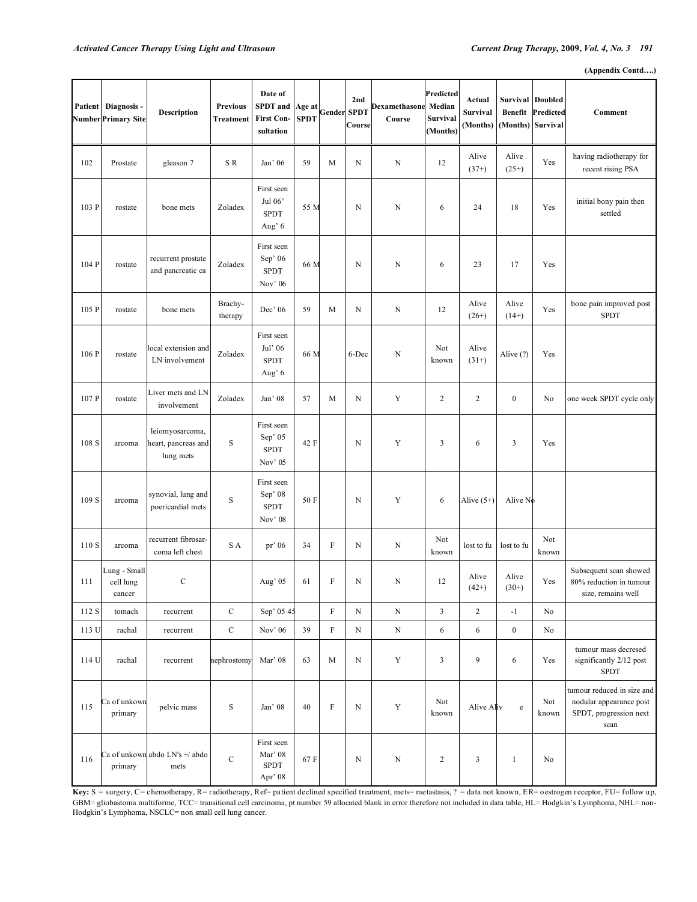**(Appendix Contd….)** 

| Patient | Diagnosis -<br>Number Primary Site  | <b>Description</b>                                  | <b>Previous</b><br>Treatment | Date of<br><b>SPDT</b> and<br><b>First Con-</b><br>sultation | Age at<br><b>SPDT</b> | Gender                    | 2nd<br><b>SPDT</b><br>Course | Dexamethasone<br>Course | Predicted<br>Median<br>Survival<br>(Months) | Actual<br><b>Survival</b><br>(Months) | <b>Benefit</b><br>(Months) Survival | <b>Survival Doubled</b><br>Predicted | Comment                                                                                 |
|---------|-------------------------------------|-----------------------------------------------------|------------------------------|--------------------------------------------------------------|-----------------------|---------------------------|------------------------------|-------------------------|---------------------------------------------|---------------------------------------|-------------------------------------|--------------------------------------|-----------------------------------------------------------------------------------------|
| 102     | Prostate                            | gleason 7                                           | S R                          | Jan' 06                                                      | 59                    | M                         | $\mathbf N$                  | N                       | 12                                          | Alive<br>$(37+)$                      | Alive<br>$(25+)$                    | Yes                                  | having radiotherapy for<br>recent rising PSA                                            |
| 103 P   | rostate                             | bone mets                                           | Zoladex                      | First seen<br>Jul 06'<br><b>SPDT</b><br>Aug' 6               | 55 M                  |                           | N                            | N                       | 6                                           | 24                                    | 18                                  | Yes                                  | initial bony pain then<br>settled                                                       |
| 104 P   | rostate                             | recurrent prostate<br>and pancreatic ca             | Zoladex                      | First seen<br>Sep' 06<br><b>SPDT</b><br>Nov' 06              | 66 M                  |                           | N                            | N                       | 6                                           | 23                                    | 17                                  | Yes                                  |                                                                                         |
| 105 P   | rostate                             | bone mets                                           | Brachy-<br>therapy           | Dec' 06                                                      | 59                    | M                         | N                            | N                       | 12                                          | Alive<br>$(26+)$                      | Alive<br>$(14+)$                    | Yes                                  | bone pain improved post<br><b>SPDT</b>                                                  |
| 106 P   | rostate                             | local extension and<br>LN involvement               | Zoladex                      | First seen<br>Jul' 06<br><b>SPDT</b><br>Aug' 6               | 66 M                  |                           | 6-Dec                        | N                       | Not<br>known                                | Alive<br>$(31+)$                      | Alive (?)                           | Yes                                  |                                                                                         |
| 107 P   | rostate                             | Liver mets and LN<br>involvement                    | Zoladex                      | Jan' 08                                                      | 57                    | M                         | N                            | Y                       | $\boldsymbol{2}$                            | 2                                     | $\boldsymbol{0}$                    | No                                   | one week SPDT cycle only                                                                |
| 108 S   | arcoma                              | leiomyosarcoma,<br>heart, pancreas and<br>lung mets | $\mathbf S$                  | First seen<br>Sep' 05<br><b>SPDT</b><br>Nov' 05              | 42 F                  |                           | N                            | Y                       | 3                                           | 6                                     | 3                                   | Yes                                  |                                                                                         |
| 109 S   | arcoma                              | synovial, lung and<br>poericardial mets             | $\mathbf S$                  | First seen<br>Sep' 08<br><b>SPDT</b><br>Nov' 08              | 50 F                  |                           | N                            | Y                       | 6                                           | Alive $(5+)$                          | Alive No                            |                                      |                                                                                         |
| 110 S   | arcoma                              | recurrent fibrosar-<br>coma left chest              | S A                          | pr' 06                                                       | 34                    | $\boldsymbol{\mathrm{F}}$ | N                            | N                       | Not<br>known                                | lost to fu                            | lost to fu                          | Not<br>known                         |                                                                                         |
| 111     | Lung - Small<br>cell lung<br>cancer | $\mathbf C$                                         |                              | Aug' 05                                                      | 61                    | F                         | N                            | N                       | 12                                          | Alive<br>$(42+)$                      | Alive<br>$(30+)$                    | Yes                                  | Subsequent scan showed<br>80% reduction in tumour<br>size, remains well                 |
| 112 S   | tomach                              | recurrent                                           | $\mathbf C$                  | Sep' 05 45                                                   |                       | $\rm F$                   | $\mathbf N$                  | $\mathbf N$             | 3                                           | $\overline{c}$                        | $^{\circ}1$                         | No                                   |                                                                                         |
| 113 U   | rachal                              | recurrent                                           | $\mathbf C$                  | Nov' 06                                                      | 39                    | ${\rm F}$                 | ${\bf N}$                    | ${\bf N}$               | 6                                           | 6                                     | $\boldsymbol{0}$                    | No                                   |                                                                                         |
| 114 U   | rachal                              | recurrent                                           | nephrostomy                  | Mar' 08                                                      | 63                    | M                         | $\mathbf N$                  | Y                       | 3                                           | 9                                     | 6                                   | Yes                                  | tumour mass decresed<br>significantly 2/12 post<br><b>SPDT</b>                          |
| 115     | Ca of unkown<br>primary             | pelvic mass                                         | $\mathbf S$                  | Jan' 08                                                      | 40                    | $\rm F$                   | $\mathbf N$                  | $\mathbf Y$             | Not<br>known                                | Alive Aliv                            | $\rm e$                             | Not<br>known                         | tumour reduced in size and<br>nodular appearance post<br>SPDT, progression next<br>scan |
| 116     | primary                             | Ca of unkown abdo LN's +/ abdo<br>mets              | $\mathbf C$                  | First seen<br>Mar' 08<br>${\rm SPDT}$<br>Apr' 08             | 67F                   |                           | $\mathbf N$                  | $\mathbf N$             | $\overline{c}$                              | $\mathfrak{Z}$                        | $\mathbf{1}$                        | No                                   |                                                                                         |

**Key:** S = surgery, C= chemotherapy, R= radiotherapy, Ref= patient declined specified treatment, mets= metastasis, ? = data not known, ER= o estrogen receptor, FU= follow up, GBM= gliobastoma multiforme, TCC= transitional cell carcinoma, pt number 59 allocated blank in error therefore not included in data table, HL= Hodgkin's Lymphoma, NHL= non-Hodgkin's Lymphoma, NSCLC= non small cell lung cancer.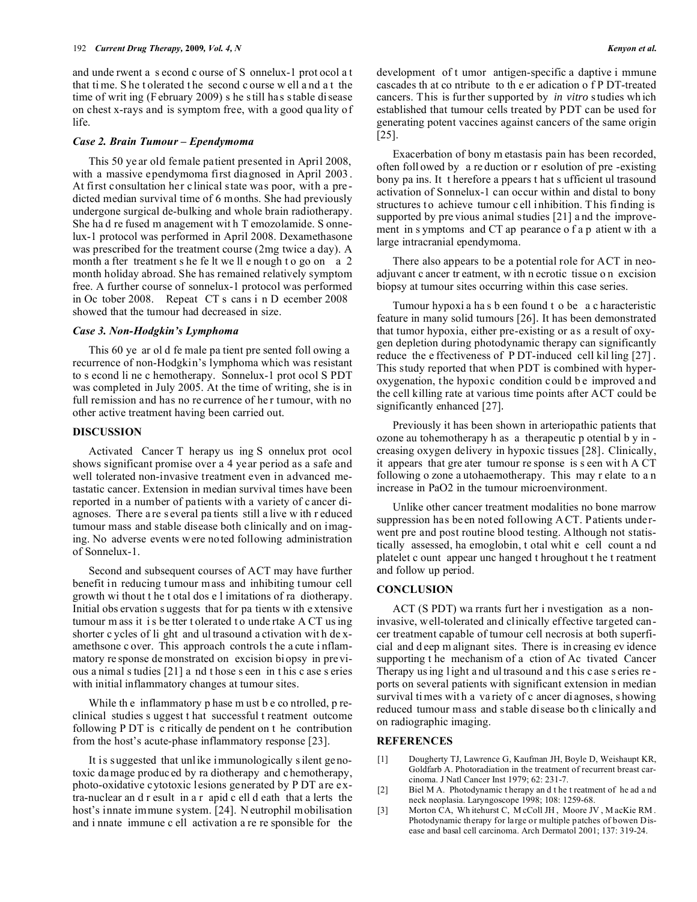and unde rwent a s econd c ourse of S onnelux-1 prot ocol a t that ti me. S he t olerated t he second c ourse w ell a nd a t the time of writ ing (F ebruary 2009) s he s till has s table disease on chest x-rays and is symptom free, with a good qua lity of life.

#### *Case 2. Brain Tumour – Ependymoma*

 This 50 ye ar old female patient presented in April 2008, with a massive ependymoma first diagnosed in April 2003 . At first consultation her clinical state was poor, with a predicted median survival time of 6 months. She had previously undergone surgical de-bulking and whole brain radiotherapy. She ha d re fused m anagement wit h T emozolamide. S onnelux-1 protocol was performed in April 2008. Dexamethasone was prescribed for the treatment course (2mg twice a day). A month a fter treatment s he fe lt we ll e nough t o go on a 2 month holiday abroad. She has remained relatively symptom free. A further course of sonnelux-1 protocol was performed in Oc tober 2008. Repeat CT s cans i n D ecember 2008 showed that the tumour had decreased in size.

#### *Case 3. Non-Hodgkin's Lymphoma*

 This 60 ye ar ol d fe male pa tient pre sented foll owing a recurrence of non-Hodgkin's lymphoma which was resistant to s econd li ne c hemotherapy. Sonnelux-1 prot ocol S PDT was completed in July 2005. At the time of writing, she is in full remission and has no re currence of her tumour, with no other active treatment having been carried out.

#### **DISCUSSION**

 Activated Cancer T herapy us ing S onnelux prot ocol shows significant promise over a 4 year period as a safe and well tolerated non-invasive treatment even in advanced metastatic cancer. Extension in median survival times have been reported in a number of patients with a variety of c ancer diagnoses. There a re s everal pa tients still a live w ith r educed tumour mass and stable disease both clinically and on imaging. No adverse events were noted following administration of Sonnelux-1.

 Second and subsequent courses of ACT may have further benefit in reducing tumour m ass and inhibiting tumour cell growth wi thout t he t otal dos e l imitations of ra diotherapy. Initial obs ervation s uggests that for pa tients w ith e xtensive tumour m ass it i s be tter t olerated t o unde rtake A CT us ing shorter c ycles of li ght and ul trasound a ctivation wit h de xamethsone c over. This approach controls t he a cute i nflammatory re sponse de monstrated on excision biopsy in previous a nimal s tudies [21] a nd t hose s een in t his c ase s eries with initial inflammatory changes at tumour sites.

While the inflammatory p hase m ust b e co ntrolled, p reclinical studies s uggest t hat successful t reatment outcome following P DT is c ritically de pendent on t he contribution from the host's acute-phase inflammatory response [23].

 It is s uggested that unlike immunologically s ilent genotoxic damage produced by ra diotherapy and chemotherapy, photo-oxidative cytotoxic lesions generated by P DT are extra-nuclear an d r esult in a r apid c ell d eath that a lerts the host's innate immune system. [24]. N eutrophil mobilisation and i nnate immune c ell activation a re re sponsible for the

development of t umor antigen-specific a daptive i mmune cascades th at co ntribute to th e er adication o f P DT-treated cancers. This is fur ther supported by *in vitro* s tudies wh ich established that tumour cells treated by PDT can be used for generating potent vaccines against cancers of the same origin [25].

 Exacerbation of bony m etastasis pain has been recorded, often foll owed by a re duction or r esolution of pre -existing bony pa ins. It t herefore a ppears t hat s ufficient ul trasound activation of Sonnelux-1 can occur within and distal to bony structures to achieve tumour c ell inhibition. T his finding is supported by pre vious animal studies [21] a nd the improvement in s ymptoms and CT ap pearance o f a p atient w ith a large intracranial ependymoma.

 There also appears to be a potential role for ACT in neoadjuvant c ancer tr eatment, w ith n ecrotic tissue o n excision biopsy at tumour sites occurring within this case series.

 Tumour hypoxi a ha s b een found t o be a c haracteristic feature in many solid tumours [26]. It has been demonstrated that tumor hypoxia, either pre-existing or as a result of oxygen depletion during photodynamic therapy can significantly reduce the e ffectiveness of P DT-induced cell kil ling [27] . This study reported that when PDT is combined with hyperoxygenation, the hypoxic condition could be improved and the cell killing rate at various time points after ACT could be significantly enhanced [27].

 Previously it has been shown in arteriopathic patients that ozone au tohemotherapy h as a therapeutic p otential b y in creasing oxygen delivery in hypoxic tissues [28]. Clinically, it appears that gre ater tumour re sponse is s een wit h A CT following o zone a utohaemotherapy. This may r elate to a n increase in PaO2 in the tumour microenvironment.

 Unlike other cancer treatment modalities no bone marrow suppression has been noted following A CT. Patients underwent pre and post routine blood testing. Although not statistically assessed, ha emoglobin, t otal whit e cell count a nd platelet c ount appear unc hanged t hroughout t he t reatment and follow up period.

#### **CONCLUSION**

 ACT (S PDT) wa rrants furt her i nvestigation as a noninvasive, well-tolerated and clinically effective targeted cancer treatment capable of tumour cell necrosis at both superficial and d eep m alignant sites. There is in creasing ev idence supporting t he mechanism of a ction of Ac tivated Cancer Therapy us ing l ight a nd ul trasound a nd t his c ase s eries re ports on several patients with significant extension in median survival ti mes wit h a va riety of c ancer di agnoses, s howing reduced tumour mass and stable disease bo th clinically and on radiographic imaging.

### **REFERENCES**

- [1] Dougherty TJ, Lawrence G, Kaufman JH, Boyle D, Weishaupt KR, Goldfarb A. Photoradiation in the treatment of recurrent breast carcinoma. J Natl Cancer Inst 1979; 62: 231-7.
- [2] Biel M A. Photodynamic therapy and the treatment of he ad and neck neoplasia. Laryngoscope 1998; 108: 1259-68.
- [3] Morton CA, Wh itehurst C, M cColl JH, Moore JV, M acKie RM. Photodynamic therapy for large or multiple patches of bowen Disease and basal cell carcinoma. Arch Dermatol 2001; 137: 319-24.